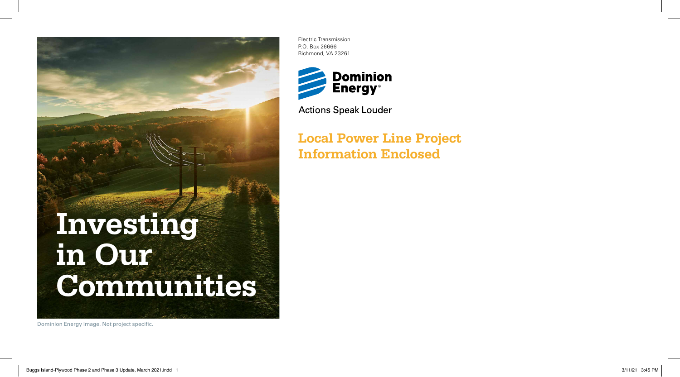

Electric Transmission P.O. Box 26666 Richmond, VA 23261



**Actions Speak Louder** 

**Local Power Line Project Information Enclosed**

Dominion Energy image. Not project specific.